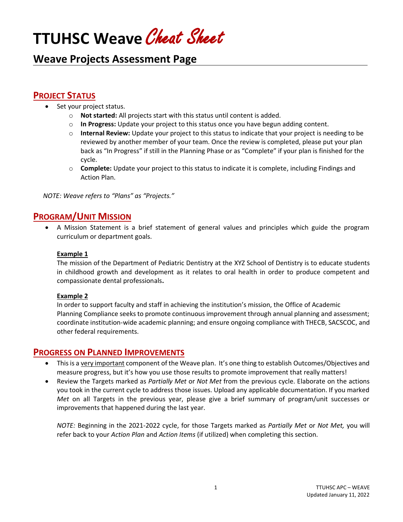# **TTUHSC Weave** Cheat Sheet

# **Weave Projects Assessment Page**

## **PROJECT STATUS**

- Set your project status.
	- o **Not started:** All projects start with this status until content is added.
	- o **In Progress:** Update your project to this status once you have begun adding content.
	- o **Internal Review:** Update your project to this status to indicate that your project is needing to be reviewed by another member of your team. Once the review is completed, please put your plan back as "In Progress" if still in the Planning Phase or as "Complete" if your plan is finished for the cycle.
	- o **Complete:** Update your project to this status to indicate it is complete, including Findings and Action Plan.

*NOTE: Weave refers to "Plans" as "Projects."*

## **PROGRAM/UNIT MISSION**

• A Mission Statement is a brief statement of general values and principles which guide the program curriculum or department goals.

#### **Example 1**

The mission of the Department of Pediatric Dentistry at the XYZ School of Dentistry is to educate students in childhood growth and development as it relates to oral health in order to produce competent and compassionate dental professionals**.**

#### **Example 2**

 In order to support faculty and staff in achieving the institution's mission, the Office of Academic Planning Compliance seeks to promote continuous improvement through annual planning and assessment; coordinate institution-wide academic planning; and ensure ongoing compliance with THECB, SACSCOC, and other federal requirements.

#### **PROGRESS ON PLANNED IMPROVEMENTS**

- This is a very important component of the Weave plan. It's one thing to establish Outcomes/Objectives and measure progress, but it's how you use those results to promote improvement that really matters!
- Review the Targets marked as *Partially Met* or *Not Met* from the previous cycle. Elaborate on the actions you took in the current cycle to address those issues. Upload any applicable documentation. If you marked *Met* on all Targets in the previous year, please give a brief summary of program/unit successes or improvements that happened during the last year.

*NOTE:* Beginning in the 2021-2022 cycle, for those Targets marked as *Partially Met* or *Not Met,* you will refer back to your *Action Plan* and *Action Items* (if utilized) when completing this section.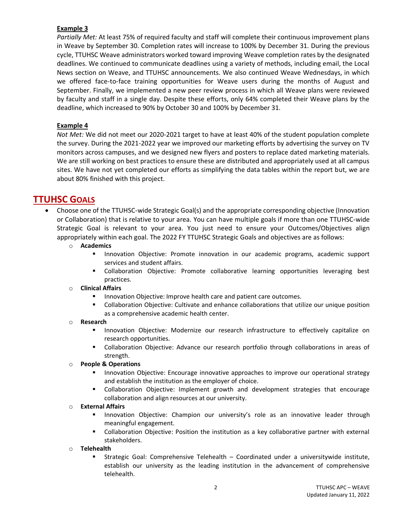#### **Example 3**

*Partially Met:* At least 75% of required faculty and staff will complete their continuous improvement plans in Weave by September 30. Completion rates will increase to 100% by December 31. During the previous cycle, TTUHSC Weave administrators worked toward improving Weave completion rates by the designated deadlines. We continued to communicate deadlines using a variety of methods, including email, the Local News section on Weave, and TTUHSC announcements. We also continued Weave Wednesdays, in which we offered face-to-face training opportunities for Weave users during the months of August and September. Finally, we implemented a new peer review process in which all Weave plans were reviewed by faculty and staff in a single day. Despite these efforts, only 64% completed their Weave plans by the deadline, which increased to 90% by October 30 and 100% by December 31.

#### **Example 4**

*Not Met:* We did not meet our 2020-2021 target to have at least 40% of the student population complete the survey. During the 2021-2022 year we improved our marketing efforts by advertising the survey on TV monitors across campuses, and we designed new flyers and posters to replace dated marketing materials. We are still working on best practices to ensure these are distributed and appropriately used at all campus sites. We have not yet completed our efforts as simplifying the data tables within the report but, we are about 80% finished with this project.

## **TTUHSC GOALS**

- Choose one of the TTUHSC-wide Strategic Goal(s) and the appropriate corresponding objective (Innovation or Collaboration) that is relative to your area. You can have multiple goals if more than one TTUHSC-wide Strategic Goal is relevant to your area. You just need to ensure your Outcomes/Objectives align appropriately within each goal. The 2022 FY TTUHSC Strategic Goals and objectives are as follows:
	- o **Academics**
		- Innovation Objective: Promote innovation in our academic programs, academic support services and student affairs.
		- **■** Collaboration Objective: Promote collaborative learning opportunities leveraging best practices.
	- o **Clinical Affairs**
		- Innovation Objective: Improve health care and patient care outcomes.
		- Collaboration Objective: Cultivate and enhance collaborations that utilize our unique position as a comprehensive academic health center.

#### o **Research**

- Innovation Objective: Modernize our research infrastructure to effectively capitalize on research opportunities.
- **■** Collaboration Objective: Advance our research portfolio through collaborations in areas of strength.

#### o **People & Operations**

- Innovation Objective: Encourage innovative approaches to improve our operational strategy and establish the institution as the employer of choice.
- **■** Collaboration Objective: Implement growth and development strategies that encourage collaboration and align resources at our university.

#### o **External Affairs**

- **E** Innovation Objective: Champion our university's role as an innovative leader through meaningful engagement.
- **•** Collaboration Objective: Position the institution as a key collaborative partner with external stakeholders.

#### o **Telehealth**

**EXECOM Strategic Goal: Comprehensive Telehealth – Coordinated under a universitywide institute,** establish our university as the leading institution in the advancement of comprehensive telehealth.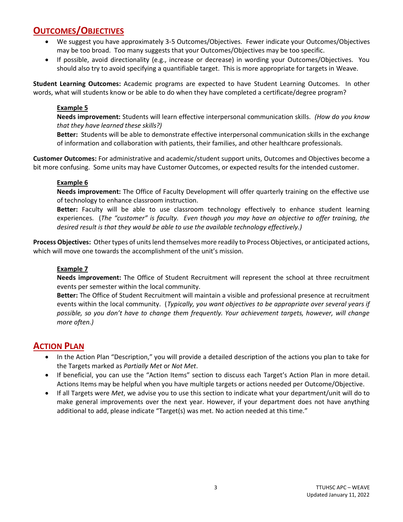# **OUTCOMES/OBJECTIVES**

- We suggest you have approximately 3-5 Outcomes/Objectives. Fewer indicate your Outcomes/Objectives may be too broad. Too many suggests that your Outcomes/Objectives may be too specific.
- If possible, avoid directionality (e.g., increase or decrease) in wording your Outcomes/Objectives. You should also try to avoid specifying a quantifiable target. This is more appropriate for targets in Weave.

**Student Learning Outcomes:** Academic programs are expected to have Student Learning Outcomes. In other words, what will students know or be able to do when they have completed a certificate/degree program?

#### **Example 5**

**Needs improvement:** Students will learn effective interpersonal communication skills. *(How do you know that they have learned these skills?)*

**Better:** Students will be able to demonstrate effective interpersonal communication skills in the exchange of information and collaboration with patients, their families, and other healthcare professionals.

**Customer Outcomes:** For administrative and academic/student support units, Outcomes and Objectives become a bit more confusing. Some units may have Customer Outcomes, or expected results for the intended customer.

#### **Example 6**

**Needs improvement:** The Office of Faculty Development will offer quarterly training on the effective use of technology to enhance classroom instruction.

**Better:** Faculty will be able to use classroom technology effectively to enhance student learning experiences. (*The "customer" is faculty. Even though you may have an objective to offer training, the desired result is that they would be able to use the available technology effectively.)*

**Process Objectives:** Other types of units lend themselves more readily to Process Objectives, or anticipated actions, which will move one towards the accomplishment of the unit's mission.

#### **Example 7**

**Needs improvement:** The Office of Student Recruitment will represent the school at three recruitment events per semester within the local community.

**Better:** The Office of Student Recruitment will maintain a visible and professional presence at recruitment events within the local community. (*Typically, you want objectives to be appropriate over several years if possible, so you don't have to change them frequently. Your achievement targets, however, will change more often.)*

### **ACTION PLAN**

- In the Action Plan "Description," you will provide a detailed description of the actions you plan to take for the Targets marked as *Partially Met* or *Not Met*.
- If beneficial, you can use the "Action Items" section to discuss each Target's Action Plan in more detail. Actions Items may be helpful when you have multiple targets or actions needed per Outcome/Objective.
- If all Targets were *Met*, we advise you to use this section to indicate what your department/unit will do to make general improvements over the next year. However, if your department does not have anything additional to add, please indicate "Target(s) was met. No action needed at this time."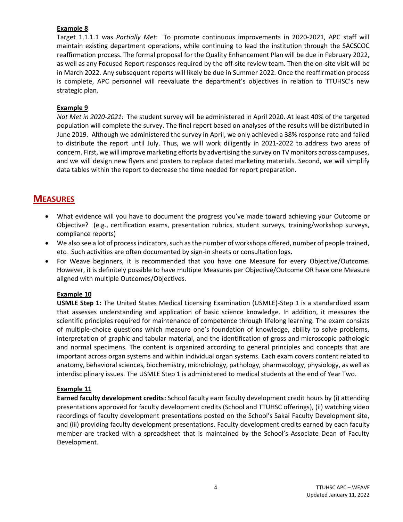#### **Example 8**

Target 1.1.1.1 was *Partially Met*: To promote continuous improvements in 2020-2021, APC staff will maintain existing department operations, while continuing to lead the institution through the SACSCOC reaffirmation process. The formal proposal for the Quality Enhancement Plan will be due in February 2022, as well as any Focused Report responses required by the off-site review team. Then the on-site visit will be in March 2022. Any subsequent reports will likely be due in Summer 2022. Once the reaffirmation process is complete, APC personnel will reevaluate the department's objectives in relation to TTUHSC's new strategic plan.

#### **Example 9**

*Not Met in 2020-2021:* The student survey will be administered in April 2020. At least 40% of the targeted population will complete the survey. The final report based on analyses of the results will be distributed in June 2019. Although we administered the survey in April, we only achieved a 38% response rate and failed to distribute the report until July. Thus, we will work diligently in 2021-2022 to address two areas of concern. First, we will improve marketing efforts by advertising the survey on TV monitors across campuses, and we will design new flyers and posters to replace dated marketing materials. Second, we will simplify data tables within the report to decrease the time needed for report preparation.

## **MEASURES**

- What evidence will you have to document the progress you've made toward achieving your Outcome or Objective? (e.g., certification exams, presentation rubrics, student surveys, training/workshop surveys, compliance reports)
- We also see a lot of process indicators, such as the number of workshops offered, number of people trained, etc. Such activities are often documented by sign-in sheets or consultation logs.
- For Weave beginners, it is recommended that you have one Measure for every Objective/Outcome. However, it is definitely possible to have multiple Measures per Objective/Outcome OR have one Measure aligned with multiple Outcomes/Objectives.

#### **Example 10**

**USMLE Step 1:** The United States Medical Licensing Examination (USMLE)-Step 1 is a standardized exam that assesses understanding and application of basic science knowledge. In addition, it measures the scientific principles required for maintenance of competence through lifelong learning. The exam consists of multiple-choice questions which measure one's foundation of knowledge, ability to solve problems, interpretation of graphic and tabular material, and the identification of gross and microscopic pathologic and normal specimens. The content is organized according to general principles and concepts that are important across organ systems and within individual organ systems. Each exam covers content related to anatomy, behavioral sciences, biochemistry, microbiology, pathology, pharmacology, physiology, as well as interdisciplinary issues. The USMLE Step 1 is administered to medical students at the end of Year Two.

#### **Example 11**

**Earned faculty development credits:** School faculty earn faculty development credit hours by (i) attending presentations approved for faculty development credits (School and TTUHSC offerings), (ii) watching video recordings of faculty development presentations posted on the School's Sakai Faculty Development site, and (iii) providing faculty development presentations. Faculty development credits earned by each faculty member are tracked with a spreadsheet that is maintained by the School's Associate Dean of Faculty Development.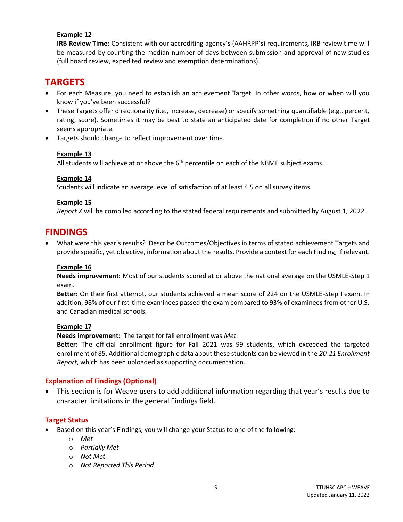#### **Example 12**

**IRB Review Time:** Consistent with our accrediting agency's (AAHRPP's) requirements, IRB review time will be measured by counting the median number of days between submission and approval of new studies (full board review, expedited review and exemption determinations).

# **TARGETS**

- For each Measure, you need to establish an achievement Target. In other words, how or when will you know if you've been successful?
- These Targets offer directionality (i.e., increase, decrease) or specify something quantifiable (e.g., percent, rating, score). Sometimes it may be best to state an anticipated date for completion if no other Target seems appropriate.
- Targets should change to reflect improvement over time.

#### **Example 13**

All students will achieve at or above the  $6<sup>th</sup>$  percentile on each of the NBME subject exams.

#### **Example 14**

Students will indicate an average level of satisfaction of at least 4.5 on all survey items.

#### **Example 15**

*Report X* will be compiled according to the stated federal requirements and submitted by August 1, 2022.

## **FINDINGS**

• What were this year's results? Describe Outcomes/Objectives in terms of stated achievement Targets and provide specific, yet objective, information about the results. Provide a context for each Finding, if relevant.

#### **Example 16**

**Needs improvement:** Most of our students scored at or above the national average on the USMLE-Step 1 exam.

**Better:** On their first attempt, our students achieved a mean score of 224 on the USMLE-Step I exam. In addition, 98% of our first-time examinees passed the exam compared to 93% of examinees from other U.S. and Canadian medical schools.

#### **Example 17**

**Needs improvement:** The target for fall enrollment was *Met*.

**Better:** The official enrollment figure for Fall 2021 was 99 students, which exceeded the targeted enrollment of 85. Additional demographic data about these students can be viewed in the *20-21 Enrollment Report*, which has been uploaded as supporting documentation.

#### **Explanation of Findings (Optional)**

• This section is for Weave users to add additional information regarding that year's results due to character limitations in the general Findings field.

#### **Target Status**

- Based on this year's Findings, you will change your Status to one of the following:
	- o *Met*
	- o *Partially Met*
	- o *Not Met*
	- o *Not Reported This Period*